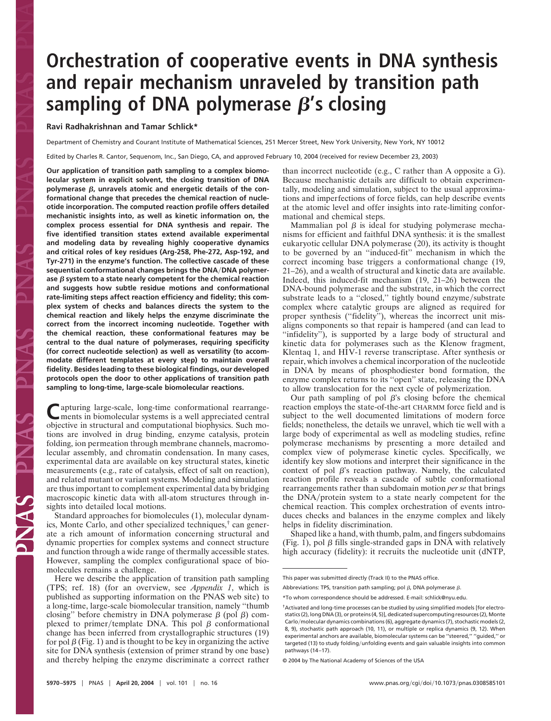# **Orchestration of cooperative events in DNA synthesis and repair mechanism unraveled by transition path** sampling of DNA polymerase  $\beta$ 's closing

## **Ravi Radhakrishnan and Tamar Schlick\***

Department of Chemistry and Courant Institute of Mathematical Sciences, 251 Mercer Street, New York University, New York, NY 10012

Edited by Charles R. Cantor, Sequenom, Inc., San Diego, CA, and approved February 10, 2004 (received for review December 23, 2003)

**Our application of transition path sampling to a complex biomolecular system in explicit solvent, the closing transition of DNA** polymerase  $\beta$ , unravels atomic and energetic details of the con**formational change that precedes the chemical reaction of nucleotide incorporation. The computed reaction profile offers detailed mechanistic insights into, as well as kinetic information on, the complex process essential for DNA synthesis and repair. The five identified transition states extend available experimental and modeling data by revealing highly cooperative dynamics and critical roles of key residues (Arg-258, Phe-272, Asp-192, and Tyr-271) in the enzyme's function. The collective cascade of these** sequential conformational changes brings the DNA/DNA polymerase  $\beta$  system to a state nearly competent for the chemical reaction **and suggests how subtle residue motions and conformational rate-limiting steps affect reaction efficiency and fidelity; this complex system of checks and balances directs the system to the chemical reaction and likely helps the enzyme discriminate the correct from the incorrect incoming nucleotide. Together with the chemical reaction, these conformational features may be central to the dual nature of polymerases, requiring specificity (for correct nucleotide selection) as well as versatility (to accommodate different templates at every step) to maintain overall fidelity. Besides leading to these biological findings, our developed protocols open the door to other applications of transition path sampling to long-time, large-scale biomolecular reactions.**

**C**apturing large-scale, long-time conformational rearrange-ments in biomolecular systems is a well appreciated central objective in structural and computational biophysics. Such motions are involved in drug binding, enzyme catalysis, protein folding, ion permeation through membrane channels, macromolecular assembly, and chromatin condensation. In many cases, experimental data are available on key structural states, kinetic measurements (e.g., rate of catalysis, effect of salt on reaction), and related mutant or variant systems. Modeling and simulation are thus important to complement experimental data by bridging macroscopic kinetic data with all-atom structures through insights into detailed local motions.

Standard approaches for biomolecules (1), molecular dynamics, Monte Carlo, and other specialized techniques,† can generate a rich amount of information concerning structural and dynamic properties for complex systems and connect structure and function through a wide range of thermally accessible states. However, sampling the complex configurational space of biomolecules remains a challenge.

Here we describe the application of transition path sampling (TPS; ref. 18) (for an overview, see *Appendix 1*, which is published as supporting information on the PNAS web site) to a long-time, large-scale biomolecular transition, namely ''thumb closing" before chemistry in DNA polymerase  $\beta$  (pol  $\beta$ ) complexed to primer/template DNA. This pol  $\beta$  conformational change has been inferred from crystallographic structures (19) for pol  $\beta$  (Fig. 1) and is thought to be key in organizing the active site for DNA synthesis (extension of primer strand by one base) and thereby helping the enzyme discriminate a correct rather than incorrect nucleotide (e.g., C rather than A opposite a G). Because mechanistic details are difficult to obtain experimentally, modeling and simulation, subject to the usual approximations and imperfections of force fields, can help describe events at the atomic level and offer insights into rate-limiting conformational and chemical steps.

Mammalian pol  $\beta$  is ideal for studying polymerase mechanisms for efficient and faithful DNA synthesis: it is the smallest eukaryotic cellular DNA polymerase (20), its activity is thought to be governed by an ''induced-fit'' mechanism in which the correct incoming base triggers a conformational change (19, 21–26), and a wealth of structural and kinetic data are available. Indeed, this induced-fit mechanism (19, 21–26) between the DNA-bound polymerase and the substrate, in which the correct substrate leads to a "closed," tightly bound enzyme/substrate complex where catalytic groups are aligned as required for proper synthesis (''fidelity''), whereas the incorrect unit misaligns components so that repair is hampered (and can lead to ''infidelity''), is supported by a large body of structural and kinetic data for polymerases such as the Klenow fragment, Klentaq 1, and HIV-1 reverse transcriptase. After synthesis or repair, which involves a chemical incorporation of the nucleotide in DNA by means of phosphodiester bond formation, the enzyme complex returns to its ''open'' state, releasing the DNA to allow translocation for the next cycle of polymerization.

Our path sampling of pol  $\beta$ 's closing before the chemical reaction employs the state-of-the-art CHARMM force field and is subject to the well documented limitations of modern force fields; nonetheless, the details we unravel, which tie well with a large body of experimental as well as modeling studies, refine polymerase mechanisms by presenting a more detailed and complex view of polymerase kinetic cycles. Specifically, we identify key slow motions and interpret their significance in the context of pol  $\beta$ 's reaction pathway. Namely, the calculated reaction profile reveals a cascade of subtle conformational rearrangements rather than subdomain motion *per se* that brings the DNA/protein system to a state nearly competent for the chemical reaction. This complex orchestration of events introduces checks and balances in the enzyme complex and likely helps in fidelity discrimination.

Shaped like a hand, with thumb, palm, and fingers subdomains (Fig. 1), pol  $\beta$  fills single-stranded gaps in DNA with relatively high accuracy (fidelity): it recruits the nucleotide unit (dNTP,

Abbreviations: TPS, transition path sampling; pol  $\beta$ , DNA polymerase  $\beta$ .

© 2004 by The National Academy of Sciences of the USA

This paper was submitted directly (Track II) to the PNAS office.

<sup>\*</sup>To whom correspondence should be addressed. E-mail: schlick@nyu.edu.

<sup>†</sup>Activated and long-time processes can be studied by using simplified models [for electrostatics (2), long DNA (3), or proteins (4, 5)], dedicated supercomputing resources (2), Monte Carlo/molecular dynamics combinations (6), aggregate dynamics (7), stochastic models (2, 8, 9), stochastic path approach (10, 11), or multiple or replica dynamics (9, 12). When experimental anchors are available, biomolecular systems can be ''steered,'' ''guided,'' or targeted (13) to study folding/unfolding events and gain valuable insights into common pathways (14–17).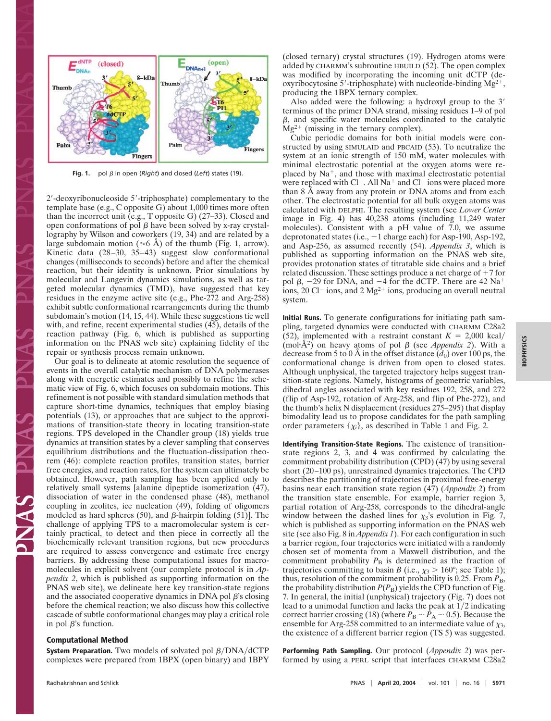

Fig. 1. pol  $\beta$  in open (*Right*) and closed (*Left*) states (19).

2'-deoxyribonucleoside 5'-triphosphate) complementary to the template base (e.g., C opposite G) about 1,000 times more often than the incorrect unit (e.g., T opposite G) (27–33). Closed and open conformations of pol  $\beta$  have been solved by x-ray crystallography by Wilson and coworkers (19, 34) and are related by a large subdomain motion ( $\approx$ 6 Å) of the thumb (Fig. 1, arrow). Kinetic data (28–30, 35–43) suggest slow conformational changes (milliseconds to seconds) before and after the chemical reaction, but their identity is unknown. Prior simulations by molecular and Langevin dynamics simulations, as well as targeted molecular dynamics (TMD), have suggested that key residues in the enzyme active site (e.g., Phe-272 and Arg-258) exhibit subtle conformational rearrangements during the thumb subdomain's motion (14, 15, 44). While these suggestions tie well with, and refine, recent experimental studies (45), details of the reaction pathway (Fig. 6, which is published as supporting information on the PNAS web site) explaining fidelity of the repair or synthesis process remain unknown.

Our goal is to delineate at atomic resolution the sequence of events in the overall catalytic mechanism of DNA polymerases along with energetic estimates and possibly to refine the schematic view of Fig. 6, which focuses on subdomain motions. This refinement is not possible with standard simulation methods that capture short-time dynamics, techniques that employ biasing potentials (13), or approaches that are subject to the approximations of transition-state theory in locating transition-state regions. TPS developed in the Chandler group (18) yields true dynamics at transition states by a clever sampling that conserves equilibrium distributions and the fluctuation-dissipation theorem (46): complete reaction profiles, transition states, barrier free energies, and reaction rates, for the system can ultimately be obtained. However, path sampling has been applied only to relatively small systems [alanine dipeptide isomerization (47), dissociation of water in the condensed phase (48), methanol coupling in zeolites, ice nucleation (49), folding of oligomers modeled as hard spheres (50), and  $\beta$ -hairpin folding (51). The challenge of applying TPS to a macromolecular system is certainly practical, to detect and then piece in correctly all the biochemically relevant transition regions, but new procedures are required to assess convergence and estimate free energy barriers. By addressing these computational issues for macromolecules in explicit solvent (our complete protocol is in *Appendix 2*, which is published as supporting information on the PNAS web site), we delineate here key transition-state regions and the associated cooperative dynamics in DNA pol  $\beta$ 's closing before the chemical reaction; we also discuss how this collective cascade of subtle conformational changes may play a critical role in pol  $\beta$ 's function.

## **Computational Method**

**System Preparation.** Two models of solvated pol  $\beta$ /DNA/dCTP complexes were prepared from 1BPX (open binary) and 1BPY (closed ternary) crystal structures (19). Hydrogen atoms were added by CHARMM's subroutine HBUILD (52). The open complex was modified by incorporating the incoming unit dCTP (deoxyribocytosine 5'-triphosphate) with nucleotide-binding  $Mg^{2+}$ , producing the 1BPX ternary complex.

Also added were the following: a hydroxyl group to the 3 terminus of the primer DNA strand, missing residues 1–9 of pol  $\beta$ , and specific water molecules coordinated to the catalytic  $Mg^{2+}$  (missing in the ternary complex).

Cubic periodic domains for both initial models were constructed by using SIMULAID and PBCAID (53). To neutralize the system at an ionic strength of 150 mM, water molecules with minimal electrostatic potential at the oxygen atoms were replaced by  $Na<sup>+</sup>$ , and those with maximal electrostatic potential were replaced with  $Cl^-$ . All Na<sup>+</sup> and  $Cl^-$  ions were placed more than 8 Å away from any protein or DNA atoms and from each other. The electrostatic potential for all bulk oxygen atoms was calculated with DELPHI. The resulting system (see *Lower Center* image in Fig. 4) has 40,238 atoms (including 11,249 water molecules). Consistent with a pH value of  $7.0$ , we assume deprotonated states (i.e.,  $-1$  charge each) for Asp-190, Asp-192, and Asp-256, as assumed recently (54). *Appendix 3*, which is published as supporting information on the PNAS web site, provides protonation states of titratable side chains and a brief related discussion. These settings produce a net charge of  $+7$  for pol  $\beta$ , -29 for DNA, and -4 for the dCTP. There are 42 Na<sup>+</sup> ions, 20 Cl<sup>-</sup> ions, and 2 Mg<sup>2+</sup> ions, producing an overall neutral system.

**Initial Runs.** To generate configurations for initiating path sampling, targeted dynamics were conducted with CHARMM C28a2 (52), implemented with a restraint constant  $K = 2,000$  kcal/ (mol· $\hat{A}^2$ ) on heavy atoms of pol  $\beta$  (see *Appendix 2*). With a decrease from 5 to 0 Å in the offset distance  $\overline{d}_0$  over 100 ps, the conformational change is driven from open to closed states. Although unphysical, the targeted trajectory helps suggest transition-state regions. Namely, histograms of geometric variables, dihedral angles associated with key residues 192, 258, and 272 (flip of Asp-192, rotation of Arg-258, and flip of Phe-272), and the thumb's helix N displacement (residues 275–295) that display bimodality lead us to propose candidates for the path sampling order parameters  $\{\chi_i\}$ , as described in Table 1 and Fig. 2.

**Identifying Transition-State Regions.** The existence of transitionstate regions 2, 3, and 4 was confirmed by calculating the commitment probability distribution (CPD) (47) by using several short (20–100 ps), unrestrained dynamics trajectories. The CPD describes the partitioning of trajectories in proximal free-energy basins near each transition state region (47) (*Appendix 2*) from the transition state ensemble. For example, barrier region 3, partial rotation of Arg-258, corresponds to the dihedral-angle window between the dashed lines for  $\chi_3$ 's evolution in Fig. 7, which is published as supporting information on the PNAS web site (see also Fig. 8 in *Appendix 1*). For each configuration in such a barrier region, four trajectories were initiated with a randomly chosen set of momenta from a Maxwell distribution, and the commitment probability  $P_B$  is determined as the fraction of trajectories committing to basin *B* (i.e.,  $\chi_3 > 160^\circ$ ; see Table 1); thus, resolution of the commitment probability is 0.25. From  $P_{\text{B}}$ , the probability distribution  $P(P_B)$  yields the CPD function of Fig. 7. In general, the initial (unphysical) trajectory (Fig. 7) does not lead to a unimodal function and lacks the peak at  $1/2$  indicating correct barrier crossing (18) (where  $P_B \sim \bar{P}_A \sim 0.5$ ). Because the ensemble for Arg-258 committed to an intermediate value of  $\chi_3$ , the existence of a different barrier region (TS 5) was suggested.

**Performing Path Sampling.** Our protocol (*Appendix 2*) was performed by using a PERL script that interfaces CHARMM C28a2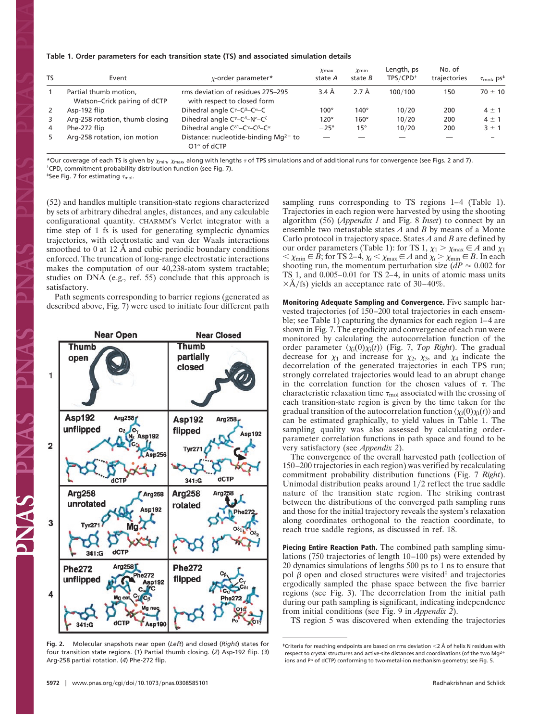#### **Table 1. Order parameters for each transition state (TS) and associated simulation details**

| TS | Event                                                 | $x$ -order parameter*                                                                         | $\chi$ max<br>state A | $\chi$ min<br>state B | Length, ps<br>TPS/CPD <sup>+</sup> | No. of<br>trajectories | $\tau_{\text{mol}}$ , ps <sup>‡</sup> |
|----|-------------------------------------------------------|-----------------------------------------------------------------------------------------------|-----------------------|-----------------------|------------------------------------|------------------------|---------------------------------------|
|    | Partial thumb motion,<br>Watson-Crick pairing of dCTP | rms deviation of residues 275-295<br>with respect to closed form                              | $3.4\AA$              | $2.7 \text{ Å}$       | 100/100                            | 150                    | $70 \pm 10$                           |
| 2  | Asp-192 flip                                          | Dihedral angle $C^{\gamma}$ – $C^{\beta}$ – $C^{\alpha}$ –C                                   | $100^\circ$           | 140°                  | 10/20                              | 200                    | $4 \pm 1$                             |
| 3  | Arg-258 rotation, thumb closing                       | Dihedral angle $C^{\gamma}-C^{\delta}-N^{\epsilon}-C^{\zeta}$                                 | $120^\circ$           | $160^\circ$           | 10/20                              | 200                    | $4 \pm 1$                             |
| 4  | Phe-272 flip                                          | Dihedral angle $C^{\delta 1}$ –C $\gamma$ –C $\beta$ –C $\alpha$                              | $-25^\circ$           | $15^{\circ}$          | 10/20                              | 200                    | $3 \pm 1$                             |
| 5  | Arg-258 rotation, ion motion                          | Distance: nucleotide-binding Mq <sup>2+</sup> to<br>O1 <sup><math>\alpha</math></sup> of dCTP |                       |                       |                                    |                        |                                       |

\*Our coverage of each TS is given by  $\chi_{\rm min}$ ,  $\chi_{\rm max}$  along with lengths  $\tau$  of TPS simulations and of additional runs for convergence (see Figs. 2 and 7). †CPD, commitment probability distribution function (see Fig. 7).

<sup>‡</sup>See Fig. 7 for estimating  $\tau_{\text{mol}}$ .

(52) and handles multiple transition-state regions characterized by sets of arbitrary dihedral angles, distances, and any calculable configurational quantity. CHARMM's Verlet integrator with a time step of 1 fs is used for generating symplectic dynamics trajectories, with electrostatic and van der Waals interactions smoothed to 0 at 12 Å and cubic periodic boundary conditions enforced. The truncation of long-range electrostatic interactions makes the computation of our 40,238-atom system tractable; studies on DNA (e.g., ref. 55) conclude that this approach is satisfactory.

Path segments corresponding to barrier regions (generated as described above, Fig. 7) were used to initiate four different path



**Fig. 2.** Molecular snapshots near open (*Left*) and closed (*Right*) states for four transition state regions. (*1*) Partial thumb closing. (*2*) Asp-192 flip. (*3*) Arg-258 partial rotation. (*4*) Phe-272 flip.

sampling runs corresponding to TS regions 1–4 (Table 1). Trajectories in each region were harvested by using the shooting algorithm (56) (*Appendix 1* and Fig. 8 *Inset*) to connect by an ensemble two metastable states *A* and *B* by means of a Monte Carlo protocol in trajectory space. States *A* and *B* are defined by our order parameters (Table 1): for TS 1,  $\chi_1 > \chi_{\text{max}} \in A$  and  $\chi_1$  $<$   $\chi$ <sub>min</sub>  $\in$  *B*; for TS 2–4,  $\chi$ <sub>*i*</sub>  $<$   $\chi$ <sub>max</sub>  $\in$  *A* and  $\chi$ <sub>*i*</sub>  $>$   $\chi$ <sub>min</sub>  $\in$  *B*. In each shooting run, the momentum perturbation size  $(dP \approx 0.002$  for TS 1, and  $0.005-0.01$  for TS  $2-4$ , in units of atomic mass units  $\times$ Å/fs) yields an acceptance rate of 30–40%.

**Monitoring Adequate Sampling and Convergence.** Five sample harvested trajectories (of 150–200 total trajectories in each ensemble; see Table 1) capturing the dynamics for each region 1–4 are shown in Fig. 7. The ergodicity and convergence of each run were monitored by calculating the autocorrelation function of the order parameter  $\langle \chi_i(0) \chi_i(t) \rangle$  (Fig. 7, *Top Right*). The gradual decrease for  $\chi_1$  and increase for  $\chi_2$ ,  $\chi_3$ , and  $\chi_4$  indicate the decorrelation of the generated trajectories in each TPS run; strongly correlated trajectories would lead to an abrupt change in the correlation function for the chosen values of  $\tau$ . The characteristic relaxation time  $\tau_{\text{mol}}$  associated with the crossing of each transition-state region is given by the time taken for the gradual transition of the autocorrelation function  $\langle \chi_i(0) \chi_i(t) \rangle$  and can be estimated graphically, to yield values in Table 1. The sampling quality was also assessed by calculating orderparameter correlation functions in path space and found to be very satisfactory (see *Appendix 2*).

The convergence of the overall harvested path (collection of 150–200 trajectories in each region) was verified by recalculating commitment probability distribution functions (Fig. 7 *Right*). Unimodal distribution peaks around  $1/2$  reflect the true saddle nature of the transition state region. The striking contrast between the distributions of the converged path sampling runs and those for the initial trajectory reveals the system's relaxation along coordinates orthogonal to the reaction coordinate, to reach true saddle regions, as discussed in ref. 18.

**Piecing Entire Reaction Path.** The combined path sampling simulations (750 trajectories of length 10–100 ps) were extended by 20 dynamics simulations of lengths 500 ps to 1 ns to ensure that pol  $\beta$  open and closed structures were visited<sup>‡</sup> and trajectories ergodically sampled the phase space between the five barrier regions (see Fig. 3). The decorrelation from the initial path during our path sampling is significant, indicating independence from initial conditions (see Fig. 9 in *Appendix 2*).

TS region 5 was discovered when extending the trajectories

Z<br>N<br>N

<sup>‡</sup>Criteria for reaching endpoints are based on rms deviation 2 Å of helix N residues with respect to crystal structures and active-site distances and coordinations (of the two Mg<sup>2+</sup> ions and  $P^{\alpha}$  of dCTP) conforming to two-metal-ion mechanism geometry; see Fig. 5.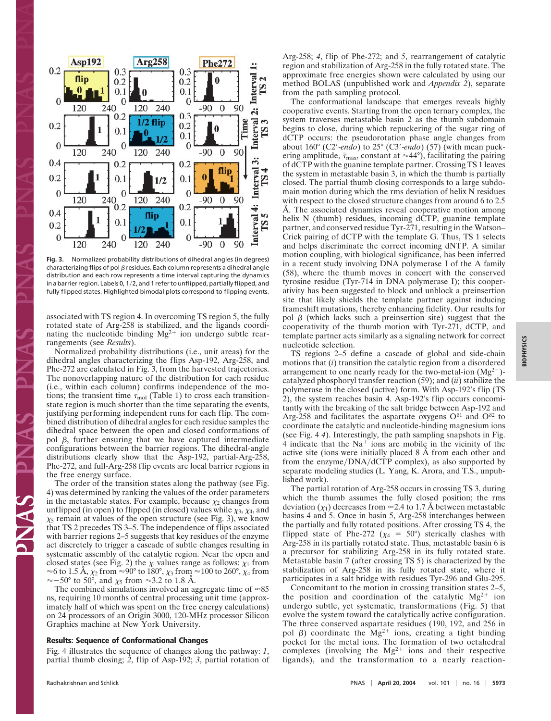

**Fig. 3.** Normalized probability distributions of dihedral angles (in degrees) characterizing flips of pol  $\beta$  residues. Each column represents a dihedral angle distribution and each row represents a time interval capturing the dynamics in a barrier region. Labels 0,  $1/2$ , and 1 refer to unflipped, partially flipped, and fully flipped states. Highlighted bimodal plots correspond to flipping events.

associated with TS region 4. In overcoming TS region 5, the fully rotated state of Arg-258 is stabilized, and the ligands coordinating the nucleotide binding  $Mg^{2+}$  ion undergo subtle rearrangements (see *Results*).

Normalized probability distributions (i.e., unit areas) for the dihedral angles characterizing the flips Asp-192, Arg-258, and Phe-272 are calculated in Fig. 3, from the harvested trajectories. The nonoverlapping nature of the distribution for each residue (i.e., within each column) confirms independence of the motions; the transient time  $\tau_{\text{mol}}$  (Table 1) to cross each transitionstate region is much shorter than the time separating the events, justifying performing independent runs for each flip. The combined distribution of dihedral angles for each residue samples the dihedral space between the open and closed conformations of pol  $\beta$ , further ensuring that we have captured intermediate configurations between the barrier regions. The dihedral-angle distributions clearly show that the Asp-192, partial-Arg-258, Phe-272, and full-Arg-258 flip events are local barrier regions in the free energy surface.

The order of the transition states along the pathway (see Fig. 4) was determined by ranking the values of the order parameters in the metastable states. For example, because  $\chi_2$  changes from unflipped (in open) to flipped (in closed) values while  $\chi_3$ ,  $\chi_4$ , and  $\chi$ <sub>5</sub> remain at values of the open structure (see Fig. 3), we know that TS 2 precedes TS 3–5. The independence of flips associated with barrier regions 2–5 suggests that key residues of the enzyme act discretely to trigger a cascade of subtle changes resulting in systematic assembly of the catalytic region. Near the open and closed states (see Fig. 2) the  $\chi_i$  values range as follows:  $\chi_1$  from  $\approx$ 6 to 1.5 Å,  $\chi_2$  from  $\approx$ 90° to 180°,  $\chi_3$  from  $\approx$ 100 to 260°,  $\chi_4$  from  $\approx$  -50° to 50°, and  $\chi$ <sub>5</sub> from  $\approx$ 3.2 to 1.8 Å.

The combined simulations involved an aggregate time of  $\approx 85$ ns, requiring 10 months of central processing unit time (approximately half of which was spent on the free energy calculations) on 24 processors of an Origin 3000, 120-MHz processor Silicon Graphics machine at New York University.

### **Results: Sequence of Conformational Changes**

Fig. 4 illustrates the sequence of changes along the pathway: *1*, partial thumb closing; *2*, flip of Asp-192; *3*, partial rotation of Arg-258; *4*, flip of Phe-272; and *5*, rearrangement of catalytic region and stabilization of Arg-258 in the fully rotated state. The approximate free energies shown were calculated by using our method BOLAS (unpublished work and *Appendix 2*), separate from the path sampling protocol.

The conformational landscape that emerges reveals highly cooperative events. Starting from the open ternary complex, the system traverses metastable basin 2 as the thumb subdomain begins to close, during which repuckering of the sugar ring of dCTP occurs: the pseudorotation phase angle changes from about 160° (C2-*endo*) to 25° (C3-*endo*) (57) (with mean puckering amplitude,  $\bar{\tau}_{\text{max}}$ , constant at  $\approx$ 44°), facilitating the pairing of dCTP with the guanine template partner. Crossing TS 1 leaves the system in metastable basin 3, in which the thumb is partially closed. The partial thumb closing corresponds to a large subdomain motion during which the rms deviation of helix N residues with respect to the closed structure changes from around 6 to 2.5 Å. The associated dynamics reveal cooperative motion among helix N (thumb) residues, incoming dCTP, guanine template partner, and conserved residue Tyr-271, resulting in the Watson– Crick pairing of dCTP with the template G. Thus, TS 1 selects and helps discriminate the correct incoming dNTP. A similar motion coupling, with biological significance, has been inferred in a recent study involving DNA polymerase I of the A family (58), where the thumb moves in concert with the conserved tyrosine residue (Tyr-714 in DNA polymerase I); this cooperativity has been suggested to block and unblock a preinsertion site that likely shields the template partner against inducing frameshift mutations, thereby enhancing fidelity. Our results for pol  $\beta$  (which lacks such a preinsertion site) suggest that the cooperativity of the thumb motion with Tyr-271, dCTP, and template partner acts similarly as a signaling network for correct nucleotide selection.

TS regions 2–5 define a cascade of global and side-chain motions that (*i*) transition the catalytic region from a disordered arrangement to one nearly ready for the two-metal-ion  $(Mg^{2+})$ catalyzed phosphoryl transfer reaction (59); and (*ii*) stabilize the polymerase in the closed (active) form. With Asp-192's flip (TS 2), the system reaches basin 4. Asp-192's flip occurs concomitantly with the breaking of the salt bridge between Asp-192 and Arg-258 and facilitates the aspartate oxygens  $O^{\delta 1}$  and  $O^{\delta 2}$  to coordinate the catalytic and nucleotide-binding magnesium ions (see Fig. 4 *4*). Interestingly, the path sampling snapshots in Fig. 4 indicate that the  $Na<sup>+</sup>$  ions are mobile in the vicinity of the active site (ions were initially placed 8 Å from each other and from the enzyme/DNA/dCTP complex), as also supported by separate modeling studies (L. Yang, K. Arora, and T.S., unpublished work).

The partial rotation of Arg-258 occurs in crossing TS 3, during which the thumb assumes the fully closed position; the rms deviation  $(\chi_1)$  decreases from  $\approx$  2.4 to 1.7 Å between metastable basins 4 and 5. Once in basin 5, Arg-258 interchanges between the partially and fully rotated positions. After crossing TS 4, the flipped state of Phe-272 ( $\chi_4 = 50^\circ$ ) sterically clashes with Arg-258 in its partially rotated state. Thus, metastable basin 6 is a precursor for stabilizing Arg-258 in its fully rotated state. Metastable basin 7 (after crossing TS 5) is characterized by the stabilization of Arg-258 in its fully rotated state, where it participates in a salt bridge with residues Tyr-296 and Glu-295.

Concomitant to the motion in crossing transition states 2–5, the position and coordination of the catalytic  $Mg^{2+}$  ion undergo subtle, yet systematic, transformations (Fig. 5) that evolve the system toward the catalytically active configuration. The three conserved aspartate residues (190, 192, and 256 in pol  $\beta$ ) coordinate the Mg<sup>2+</sup> ions, creating a tight binding pocket for the metal ions. The formation of two octahedral complexes (involving the  $Mg^{2+}$  ions and their respective ligands), and the transformation to a nearly reaction-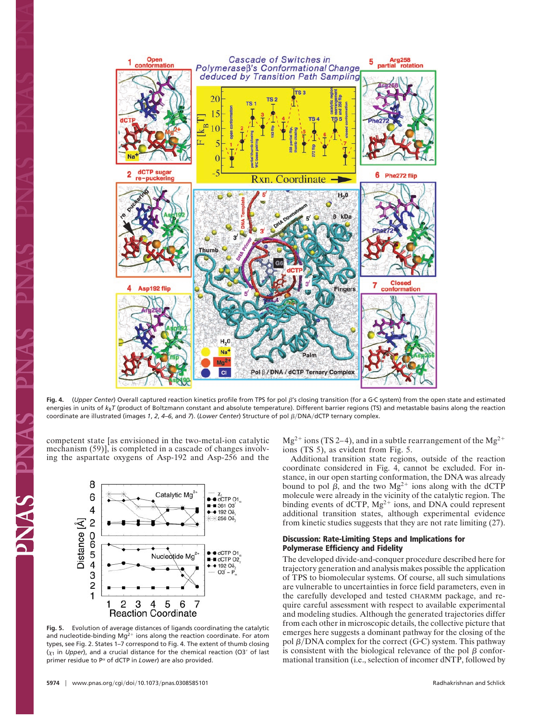

Fig. 4. (*Upper Center*) Overall captured reaction kinetics profile from TPS for pol  $\beta$ 's closing transition (for a G·C system) from the open state and estimated energies in units of  $k_B T$  (product of Boltzmann constant and absolute temperature). Different barrier regions (TS) and metastable basins along the reaction coordinate are illustrated (images 1, 2, 4–6, and 7). (Lower Center) Structure of pol  $\beta$ /DNA/dCTP ternary complex.

competent state [as envisioned in the two-metal-ion catalytic mechanism (59)], is completed in a cascade of changes involving the aspartate oxygens of Asp-192 and Asp-256 and the



**Fig. 5.** Evolution of average distances of ligands coordinating the catalytic and nucleotide-binding  $Mq^{2+}$  ions along the reaction coordinate. For atom types, see Fig. 2. States 1–7 correspond to Fig. 4. The extent of thumb closing  $(\chi_1$  in *Upper*), and a crucial distance for the chemical reaction (O3' of last primer residue to  $P^{\alpha}$  of dCTP in *Lower*) are also provided.

 $Mg^{2+}$  ions (TS 2–4), and in a subtle rearrangement of the  $Mg^{2+}$ ions (TS 5), as evident from Fig. 5.

Additional transition state regions, outside of the reaction coordinate considered in Fig. 4, cannot be excluded. For instance, in our open starting conformation, the DNA was already bound to pol  $\beta$ , and the two Mg<sup>2+</sup> ions along with the dCTP molecule were already in the vicinity of the catalytic region. The binding events of dCTP,  $Mg^{2+}$  ions, and DNA could represent additional transition states, although experimental evidence from kinetic studies suggests that they are not rate limiting (27).

## **Discussion: Rate-Limiting Steps and Implications for Polymerase Efficiency and Fidelity**

The developed divide-and-conquer procedure described here for trajectory generation and analysis makes possible the application of TPS to biomolecular systems. Of course, all such simulations are vulnerable to uncertainties in force field parameters, even in the carefully developed and tested CHARMM package, and require careful assessment with respect to available experimental and modeling studies. Although the generated trajectories differ from each other in microscopic details, the collective picture that emerges here suggests a dominant pathway for the closing of the pol  $\beta$ /DNA complex for the correct (G·C) system. This pathway is consistent with the biological relevance of the pol  $\beta$  conformational transition (i.e., selection of incomer dNTP, followed by